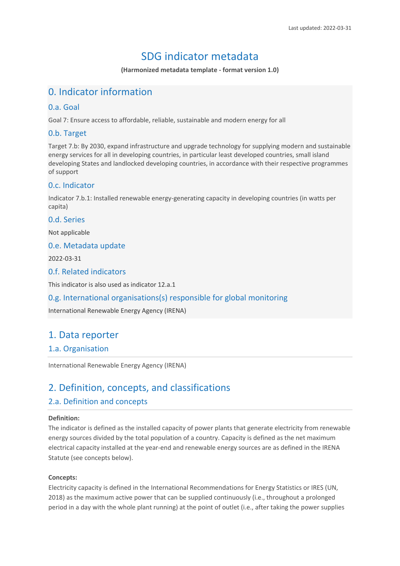# SDG indicator metadata

**(Harmonized metadata template - format version 1.0)**

# 0. Indicator information

## 0.a. Goal

Goal 7: Ensure access to affordable, reliable, sustainable and modern energy for all

# 0.b. Target

Target 7.b: By 2030, expand infrastructure and upgrade technology for supplying modern and sustainable energy services for all in developing countries, in particular least developed countries, small island developing States and landlocked developing countries, in accordance with their respective programmes of support

# 0.c. Indicator

Indicator 7.b.1: Installed renewable energy-generating capacity in developing countries (in watts per capita)

### 0.d. Series

Not applicable

## 0.e. Metadata update

2022-03-31

## 0.f. Related indicators

This indicator is also used as indicator 12.a.1

# 0.g. International organisations(s) responsible for global monitoring

International Renewable Energy Agency (IRENA)

# 1. Data reporter

## 1.a. Organisation

International Renewable Energy Agency (IRENA)

# 2. Definition, concepts, and classifications

# 2.a. Definition and concepts

### **Definition:**

The indicator is defined as the installed capacity of power plants that generate electricity from renewable energy sources divided by the total population of a country. Capacity is defined as the net maximum electrical capacity installed at the year-end and renewable energy sources are as defined in the IRENA Statute (see concepts below).

### **Concepts:**

Electricity capacity is defined in the International Recommendations for Energy Statistics or IRES (UN, 2018) as the maximum active power that can be supplied continuously (i.e., throughout a prolonged period in a day with the whole plant running) at the point of outlet (i.e., after taking the power supplies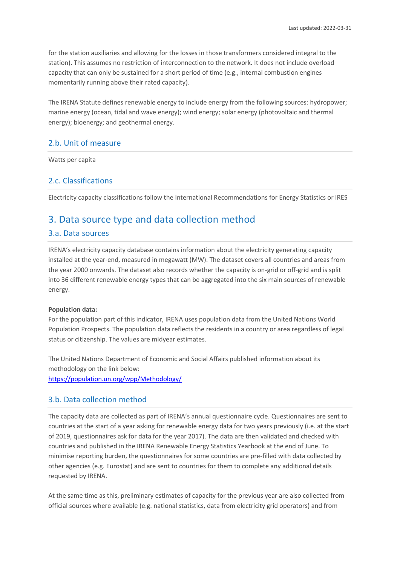for the station auxiliaries and allowing for the losses in those transformers considered integral to the station). This assumes no restriction of interconnection to the network. It does not include overload capacity that can only be sustained for a short period of time (e.g., internal combustion engines momentarily running above their rated capacity).

The IRENA Statute defines renewable energy to include energy from the following sources: hydropower; marine energy (ocean, tidal and wave energy); wind energy; solar energy (photovoltaic and thermal energy); bioenergy; and geothermal energy.

## 2.b. Unit of measure

Watts per capita

## 2.c. Classifications

Electricity capacity classifications follow the International Recommendations for Energy Statistics or IRES

# 3. Data source type and data collection method

### 3.a. Data sources

IRENA's electricity capacity database contains information about the electricity generating capacity installed at the year-end, measured in megawatt (MW). The dataset covers all countries and areas from the year 2000 onwards. The dataset also records whether the capacity is on-grid or off-grid and is split into 36 different renewable energy types that can be aggregated into the six main sources of renewable energy.

#### **Population data:**

For the population part of this indicator, IRENA uses population data from the United Nations World Population Prospects. The population data reflects the residents in a country or area regardless of legal status or citizenship. The values are midyear estimates.

The United Nations Department of Economic and Social Affairs published information about its methodology on the link below: <https://population.un.org/wpp/Methodology/>

### 3.b. Data collection method

The capacity data are collected as part of IRENA's annual questionnaire cycle. Questionnaires are sent to countries at the start of a year asking for renewable energy data for two years previously (i.e. at the start of 2019, questionnaires ask for data for the year 2017). The data are then validated and checked with countries and published in the IRENA Renewable Energy Statistics Yearbook at the end of June. To minimise reporting burden, the questionnaires for some countries are pre-filled with data collected by other agencies (e.g. Eurostat) and are sent to countries for them to complete any additional details requested by IRENA.

At the same time as this, preliminary estimates of capacity for the previous year are also collected from official sources where available (e.g. national statistics, data from electricity grid operators) and from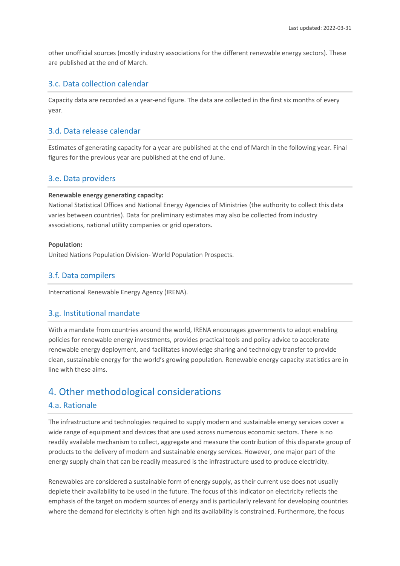other unofficial sources (mostly industry associations for the different renewable energy sectors). These are published at the end of March.

# 3.c. Data collection calendar

Capacity data are recorded as a year-end figure. The data are collected in the first six months of every year.

## 3.d. Data release calendar

Estimates of generating capacity for a year are published at the end of March in the following year. Final figures for the previous year are published at the end of June.

## 3.e. Data providers

#### **Renewable energy generating capacity:**

National Statistical Offices and National Energy Agencies of Ministries (the authority to collect this data varies between countries). Data for preliminary estimates may also be collected from industry associations, national utility companies or grid operators.

#### **Population:**

United Nations Population Division- World Population Prospects.

# 3.f. Data compilers

International Renewable Energy Agency (IRENA).

## 3.g. Institutional mandate

With a mandate from countries around the world, IRENA encourages governments to adopt enabling policies for renewable energy investments, provides practical tools and policy advice to accelerate renewable energy deployment, and facilitates knowledge sharing and technology transfer to provide clean, sustainable energy for the world's growing population. Renewable energy capacity statistics are in line with these aims.

# 4. Other methodological considerations

## 4.a. Rationale

The infrastructure and technologies required to supply modern and sustainable energy services cover a wide range of equipment and devices that are used across numerous economic sectors. There is no readily available mechanism to collect, aggregate and measure the contribution of this disparate group of products to the delivery of modern and sustainable energy services. However, one major part of the energy supply chain that can be readily measured is the infrastructure used to produce electricity.

Renewables are considered a sustainable form of energy supply, as their current use does not usually deplete their availability to be used in the future. The focus of this indicator on electricity reflects the emphasis of the target on modern sources of energy and is particularly relevant for developing countries where the demand for electricity is often high and its availability is constrained. Furthermore, the focus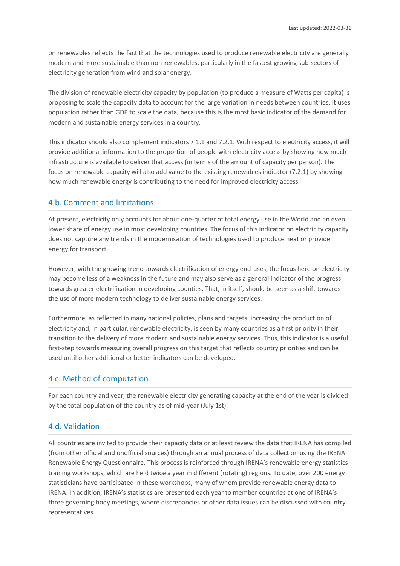on renewables reflects the fact that the technologies used to produce renewable electricity are generally modern and more sustainable than non-renewables, particularly in the fastest growing sub-sectors of electricity generation from wind and solar energy.

The division of renewable electricity capacity by population (to produce a measure of Watts per capita) is proposing to scale the capacity data to account for the large variation in needs between countries. It uses population rather than GDP to scale the data, because this is the most basic indicator of the demand for modern and sustainable energy services in a country.

This indicator should also complement indicators 7.1.1 and 7.2.1. With respect to electricity access, it will provide additional information to the proportion of people with electricity access by showing how much infrastructure is available to deliver that access (in terms of the amount of capacity per person). The focus on renewable capacity will also add value to the existing renewables indicator (7.2.1) by showing how much renewable energy is contributing to the need for improved electricity access.

## 4.b. Comment and limitations

At present, electricity only accounts for about one-quarter of total energy use in the World and an even lower share of energy use in most developing countries. The focus of this indicator on electricity capacity does not capture any trends in the modernisation of technologies used to produce heat or provide energy for transport.

However, with the growing trend towards electrification of energy end-uses, the focus here on electricity may become less of a weakness in the future and may also serve as a general indicator of the progress towards greater electrification in developing counties. That, in itself, should be seen as a shift towards the use of more modern technology to deliver sustainable energy services.

Furthermore, as reflected in many national policies, plans and targets, increasing the production of electricity and, in particular, renewable electricity, is seen by many countries as a first priority in their transition to the delivery of more modern and sustainable energy services. Thus, this indicator is a useful first-step towards measuring overall progress on this target that reflects country priorities and can be used until other additional or better indicators can be developed.

### 4.c. Method of computation

For each country and year, the renewable electricity generating capacity at the end of the year is divided by the total population of the country as of mid-year (July 1st).

## 4.d. Validation

All countries are invited to provide their capacity data or at least review the data that IRENA has compiled (from other official and unofficial sources) through an annual process of data collection using the IRENA Renewable Energy Questionnaire. This process is reinforced through IRENA's renewable energy statistics training workshops, which are held twice a year in different (rotating) regions. To date, over 200 energy statisticians have participated in these workshops, many of whom provide renewable energy data to IRENA. In addition, IRENA's statistics are presented each year to member countries at one of IRENA's three governing body meetings, where discrepancies or other data issues can be discussed with country representatives.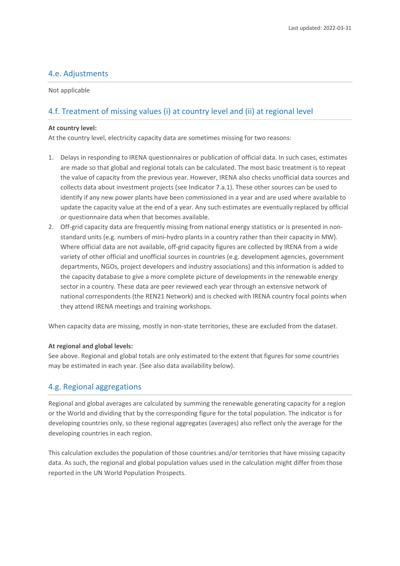## 4.e. Adjustments

Not applicable

# 4.f. Treatment of missing values (i) at country level and (ii) at regional level

#### **At country level:**

At the country level, electricity capacity data are sometimes missing for two reasons:

- 1. Delays in responding to IRENA questionnaires or publication of official data. In such cases, estimates are made so that global and regional totals can be calculated. The most basic treatment is to repeat the value of capacity from the previous year. However, IRENA also checks unofficial data sources and collects data about investment projects (see Indicator 7.a.1). These other sources can be used to identify if any new power plants have been commissioned in a year and are used where available to update the capacity value at the end of a year. Any such estimates are eventually replaced by official or questionnaire data when that becomes available.
- 2. Off-grid capacity data are frequently missing from national energy statistics or is presented in nonstandard units (e.g. numbers of mini-hydro plants in a country rather than their capacity in MW). Where official data are not available, off-grid capacity figures are collected by IRENA from a wide variety of other official and unofficial sources in countries (e.g. development agencies, government departments, NGOs, project developers and industry associations) and this information is added to the capacity database to give a more complete picture of developments in the renewable energy sector in a country. These data are peer reviewed each year through an extensive network of national correspondents (the REN21 Network) and is checked with IRENA country focal points when they attend IRENA meetings and training workshops.

When capacity data are missing, mostly in non-state territories, these are excluded from the dataset.

### **At regional and global levels:**

See above. Regional and global totals are only estimated to the extent that figures for some countries may be estimated in each year. (See also data availability below).

## 4.g. Regional aggregations

Regional and global averages are calculated by summing the renewable generating capacity for a region or the World and dividing that by the corresponding figure for the total population. The indicator is for developing countries only, so these regional aggregates (averages) also reflect only the average for the developing countries in each region.

This calculation excludes the population of those countries and/or territories that have missing capacity data. As such, the regional and global population values used in the calculation might differ from those reported in the UN World Population Prospects.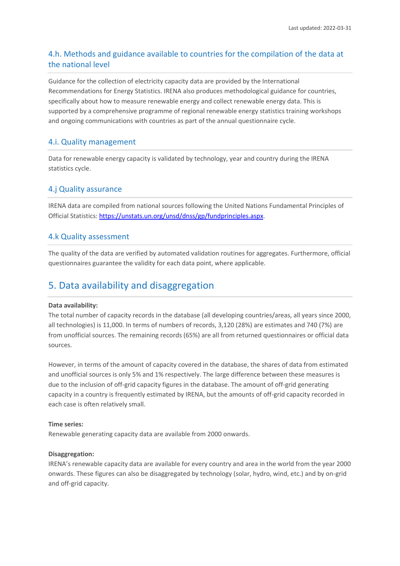# 4.h. Methods and guidance available to countries for the compilation of the data at the national level

Guidance for the collection of electricity capacity data are provided by the International Recommendations for Energy Statistics. IRENA also produces methodological guidance for countries, specifically about how to measure renewable energy and collect renewable energy data. This is supported by a comprehensive programme of regional renewable energy statistics training workshops and ongoing communications with countries as part of the annual questionnaire cycle.

# 4.i. Quality management

Data for renewable energy capacity is validated by technology, year and country during the IRENA statistics cycle.

# 4.j Quality assurance

IRENA data are compiled from national sources following the United Nations Fundamental Principles of Official Statistics[: https://unstats.un.org/unsd/dnss/gp/fundprinciples.aspx.](https://unstats.un.org/unsd/dnss/gp/fundprinciples.aspx)

## 4.k Quality assessment

The quality of the data are verified by automated validation routines for aggregates. Furthermore, official questionnaires guarantee the validity for each data point, where applicable.

# 5. Data availability and disaggregation

### **Data availability:**

The total number of capacity records in the database (all developing countries/areas, all years since 2000, all technologies) is 11,000. In terms of numbers of records, 3,120 (28%) are estimates and 740 (7%) are from unofficial sources. The remaining records (65%) are all from returned questionnaires or official data sources.

However, in terms of the amount of capacity covered in the database, the shares of data from estimated and unofficial sources is only 5% and 1% respectively. The large difference between these measures is due to the inclusion of off-grid capacity figures in the database. The amount of off-grid generating capacity in a country is frequently estimated by IRENA, but the amounts of off-grid capacity recorded in each case is often relatively small.

### **Time series:**

Renewable generating capacity data are available from 2000 onwards.

### **Disaggregation:**

IRENA's renewable capacity data are available for every country and area in the world from the year 2000 onwards. These figures can also be disaggregated by technology (solar, hydro, wind, etc.) and by on-grid and off-grid capacity.